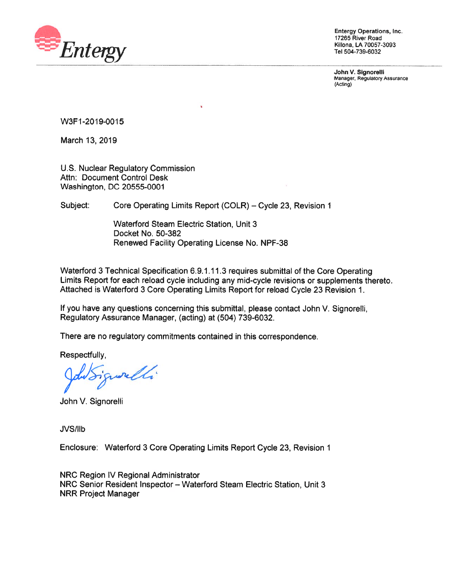

Entergy Operations, Inc. 17265 River Road Killona, **LA** 70057-3093 Tel 504-739-6032

**John V. Signorelli**  Manager, Regulatory Assurance (Acting)

W3F1-2019-0015

March 13, 2019

U.S. Nuclear Regulatory Commission Attn: Document Control Desk Washington, DC 20555-0001

Subject: Core Operating Limits Report (COLR) – Cycle 23, Revision 1

Waterford Steam Electric Station, Unit 3 Docket No. 50-382 Renewed Facility Operating License No. NPF-38

Waterford 3 Technical Specification 6.9.1.11.3 requires submittal of the Core Operating Limits Report for each reload cycle including any mid-cycle revisions or supplements thereto. Attached is Waterford 3 Core Operating Limits Report for reload Cycle 23 Revision 1.

If you have any questions concerning this submittal, please contact John V. Signorelli, Regulatory Assurance Manager, (acting) at (504) 739-6032.

There are no regulatory commitments contained in this correspondence.

Respectfully,

well.

John V. Signorelli

JVS/llb

Enclosure: Waterford 3 Core Operating Limits Report Cycle 23, Revision 1

NRC Region IV Regional Administrator NRC Senior Resident Inspector - Waterford Steam Electric Station, Unit 3 NRR Project Manager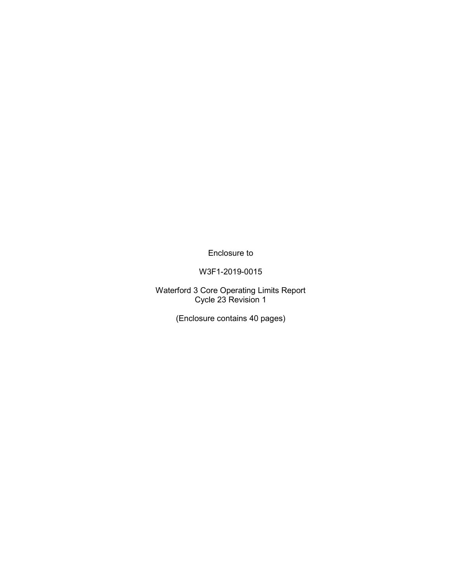Enclosure to

W3F1-2019-0015

Waterford 3 Core Operating Limits Report Cycle 23 Revision 1

(Enclosure contains 40 pages)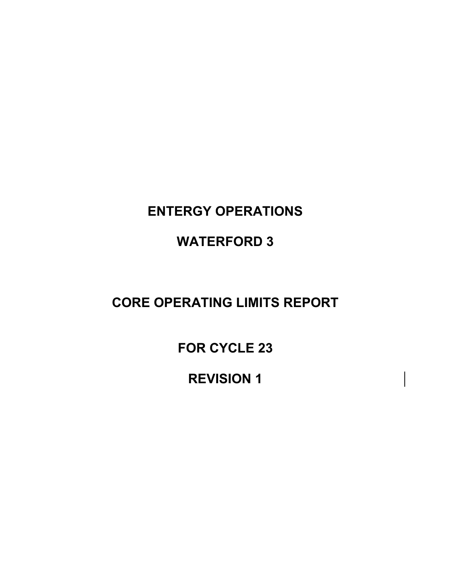# **ENTERGY OPERATIONS**

# **WATERFORD 3**

## **CORE OPERATING LIMITS REPORT**

**FOR CYCLE 23** 

**REVISION 1**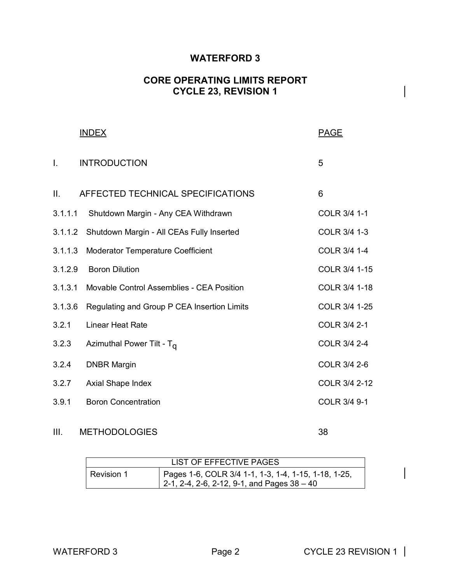#### **WATERFORD 3**

#### **CORE OPERATING LIMITS REPORT CYCLE 23, REVISION 1**

|              | <b>INDEX</b>                                | <b>PAGE</b>   |
|--------------|---------------------------------------------|---------------|
| $\mathbf{L}$ | <b>INTRODUCTION</b>                         | 5             |
| II.          | AFFECTED TECHNICAL SPECIFICATIONS           | 6             |
| 3.1.1.1      | Shutdown Margin - Any CEA Withdrawn         | COLR 3/4 1-1  |
| 3.1.1.2      | Shutdown Margin - All CEAs Fully Inserted   | COLR 3/4 1-3  |
| 3.1.1.3      | Moderator Temperature Coefficient           | COLR 3/4 1-4  |
| 3.1.2.9      | <b>Boron Dilution</b>                       | COLR 3/4 1-15 |
| 3.1.3.1      | Movable Control Assemblies - CEA Position   | COLR 3/4 1-18 |
| 3.1.3.6      | Regulating and Group P CEA Insertion Limits | COLR 3/4 1-25 |
| 3.2.1        | <b>Linear Heat Rate</b>                     | COLR 3/4 2-1  |
| 3.2.3        | Azimuthal Power Tilt - T <sub>a</sub>       | COLR 3/4 2-4  |
| 3.2.4        | <b>DNBR Margin</b>                          | COLR 3/4 2-6  |
| 3.2.7        | Axial Shape Index                           | COLR 3/4 2-12 |
| 3.9.1        | <b>Boron Concentration</b>                  | COLR 3/4 9-1  |
|              |                                             |               |

#### III. METHODOLOGIES 38

| LIST OF EFFECTIVE PAGES |                                                                                                     |  |  |
|-------------------------|-----------------------------------------------------------------------------------------------------|--|--|
| I Revision 1            | Pages 1-6, COLR 3/4 1-1, 1-3, 1-4, 1-15, 1-18, 1-25,<br>2-1, 2-4, 2-6, 2-12, 9-1, and Pages 38 - 40 |  |  |

 $\begin{array}{c} \hline \end{array}$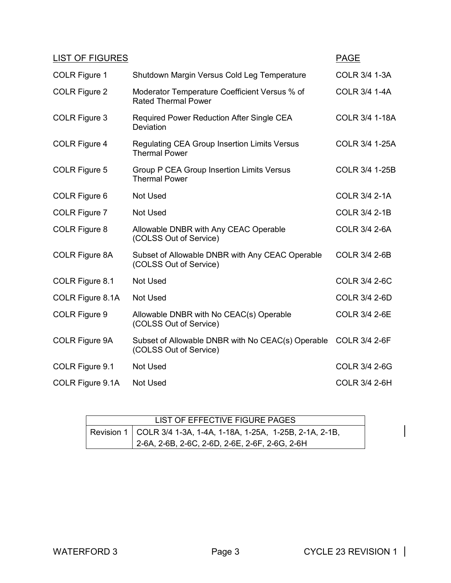| <b>LIST OF FIGURES</b> |                                                                             | <b>PAGE</b>           |
|------------------------|-----------------------------------------------------------------------------|-----------------------|
| <b>COLR Figure 1</b>   | Shutdown Margin Versus Cold Leg Temperature                                 | COLR 3/4 1-3A         |
| <b>COLR Figure 2</b>   | Moderator Temperature Coefficient Versus % of<br><b>Rated Thermal Power</b> | <b>COLR 3/4 1-4A</b>  |
| COLR Figure 3          | Required Power Reduction After Single CEA<br>Deviation                      | <b>COLR 3/4 1-18A</b> |
| COLR Figure 4          | Regulating CEA Group Insertion Limits Versus<br><b>Thermal Power</b>        | COLR 3/4 1-25A        |
| COLR Figure 5          | <b>Group P CEA Group Insertion Limits Versus</b><br><b>Thermal Power</b>    | COLR 3/4 1-25B        |
| COLR Figure 6          | <b>Not Used</b>                                                             | <b>COLR 3/4 2-1A</b>  |
| COLR Figure 7          | <b>Not Used</b>                                                             | <b>COLR 3/4 2-1B</b>  |
| COLR Figure 8          | Allowable DNBR with Any CEAC Operable<br>(COLSS Out of Service)             | <b>COLR 3/4 2-6A</b>  |
| <b>COLR Figure 8A</b>  | Subset of Allowable DNBR with Any CEAC Operable<br>(COLSS Out of Service)   | <b>COLR 3/4 2-6B</b>  |
| COLR Figure 8.1        | <b>Not Used</b>                                                             | <b>COLR 3/4 2-6C</b>  |
| COLR Figure 8.1A       | <b>Not Used</b>                                                             | <b>COLR 3/4 2-6D</b>  |
| COLR Figure 9          | Allowable DNBR with No CEAC(s) Operable<br>(COLSS Out of Service)           | <b>COLR 3/4 2-6E</b>  |
| COLR Figure 9A         | Subset of Allowable DNBR with No CEAC(s) Operable<br>(COLSS Out of Service) | <b>COLR 3/4 2-6F</b>  |
| COLR Figure 9.1        | <b>Not Used</b>                                                             | <b>COLR 3/4 2-6G</b>  |
| COLR Figure 9.1A       | <b>Not Used</b>                                                             | <b>COLR 3/4 2-6H</b>  |

| LIST OF EFFECTIVE FIGURE PAGES                                     |
|--------------------------------------------------------------------|
| Revision 1   COLR 3/4 1-3A, 1-4A, 1-18A, 1-25A, 1-25B, 2-1A, 2-1B, |
| 2-6A, 2-6B, 2-6C, 2-6D, 2-6E, 2-6F, 2-6G, 2-6H                     |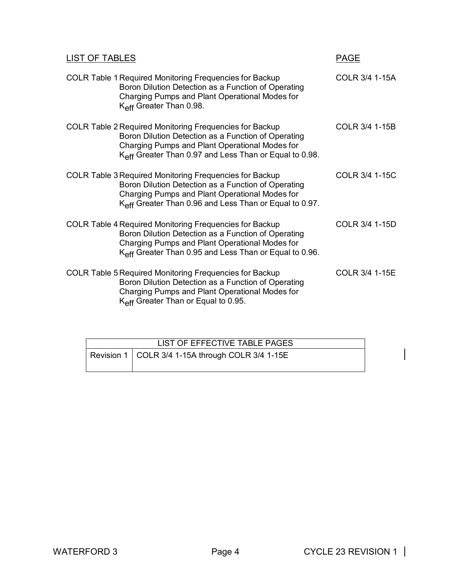| <b>LIST OF TABLES</b>                                                                                                                                                                                                                         | <b>PAGE</b>    |
|-----------------------------------------------------------------------------------------------------------------------------------------------------------------------------------------------------------------------------------------------|----------------|
| <b>COLR Table 1 Required Monitoring Frequencies for Backup</b><br>Boron Dilution Detection as a Function of Operating<br>Charging Pumps and Plant Operational Modes for<br>K <sub>eff</sub> Greater Than 0.98.                                | COLR 3/4 1-15A |
| <b>COLR Table 2 Required Monitoring Frequencies for Backup</b><br>Boron Dilution Detection as a Function of Operating<br>Charging Pumps and Plant Operational Modes for<br>K <sub>eff</sub> Greater Than 0.97 and Less Than or Equal to 0.98. | COLR 3/4 1-15B |
| <b>COLR Table 3 Required Monitoring Frequencies for Backup</b><br>Boron Dilution Detection as a Function of Operating<br>Charging Pumps and Plant Operational Modes for<br>K <sub>eff</sub> Greater Than 0.96 and Less Than or Equal to 0.97. | COLR 3/4 1-15C |
| <b>COLR Table 4 Required Monitoring Frequencies for Backup</b><br>Boron Dilution Detection as a Function of Operating<br>Charging Pumps and Plant Operational Modes for<br>K <sub>eff</sub> Greater Than 0.95 and Less Than or Equal to 0.96. | COLR 3/4 1-15D |
| <b>COLR Table 5 Required Monitoring Frequencies for Backup</b><br>Boron Dilution Detection as a Function of Operating<br>Charging Pumps and Plant Operational Modes for<br>K <sub>eff</sub> Greater Than or Equal to 0.95.                    | COLR 3/4 1-15E |

| LIST OF EFFECTIVE TABLE PAGES                      |  |  |  |  |
|----------------------------------------------------|--|--|--|--|
| Revision 1   COLR 3/4 1-15A through COLR 3/4 1-15E |  |  |  |  |
|                                                    |  |  |  |  |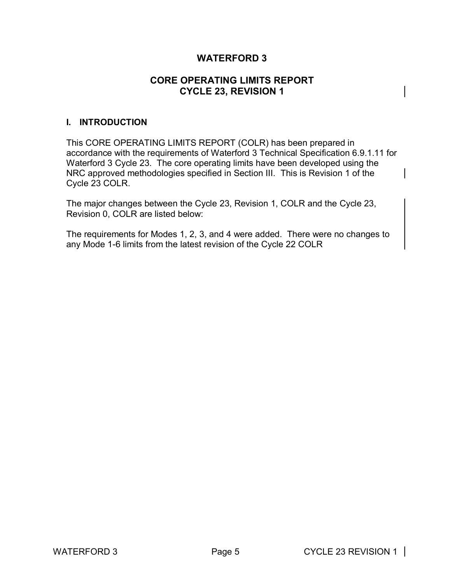#### **WATERFORD 3**

#### **CORE OPERATING LIMITS REPORT CYCLE 23, REVISION 1**

#### **I. INTRODUCTION**

This CORE OPERATING LIMITS REPORT (COLR) has been prepared in accordance with the requirements of Waterford 3 Technical Specification 6.9.1.11 for Waterford 3 Cycle 23. The core operating limits have been developed using the NRC approved methodologies specified in Section III. This is Revision 1 of the Cycle 23 COLR.

The major changes between the Cycle 23, Revision 1, COLR and the Cycle 23, Revision 0, COLR are listed below:

The requirements for Modes 1, 2, 3, and 4 were added. There were no changes to any Mode 1-6 limits from the latest revision of the Cycle 22 COLR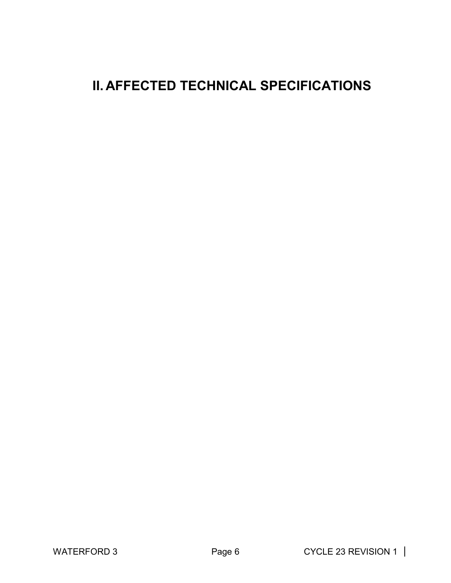# **II. AFFECTED TECHNICAL SPECIFICATIONS**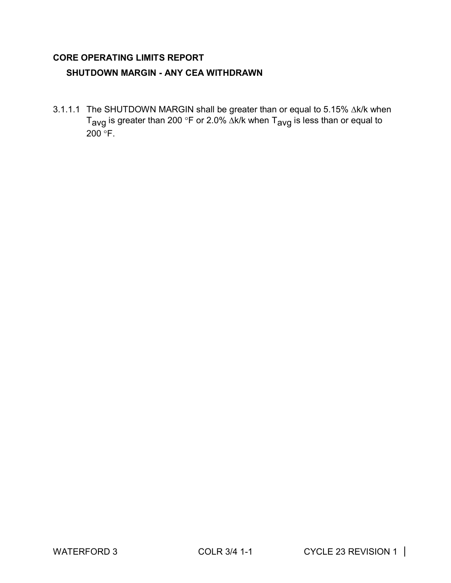#### **CORE OPERATING LIMITS REPORT**

#### **SHUTDOWN MARGIN - ANY CEA WITHDRAWN**

3.1.1.1 The SHUTDOWN MARGIN shall be greater than or equal to 5.15%  $\Delta$ k/k when T<sub>avg</sub> is greater than 200 °F or 2.0% ∆k/k when T<sub>avg</sub> is less than or equal to  $200^\circ$ F.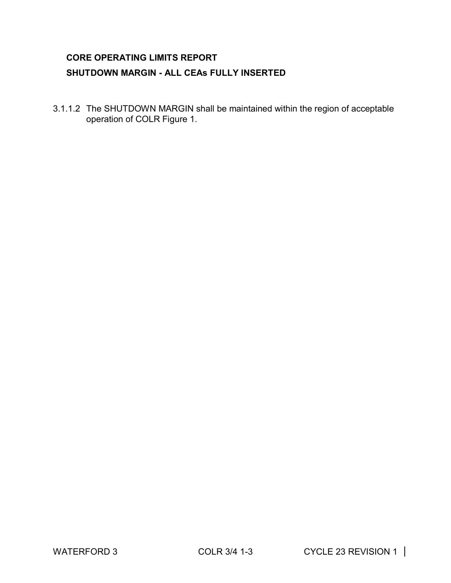### **CORE OPERATING LIMITS REPORT SHUTDOWN MARGIN - ALL CEAs FULLY INSERTED**

3.1.1.2 The SHUTDOWN MARGIN shall be maintained within the region of acceptable operation of COLR Figure 1.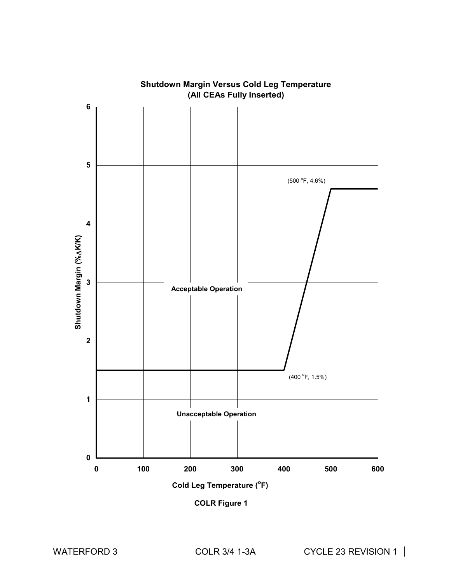

# **Shutdown Margin Versus Cold Leg Temperature**

**COLR Figure 1**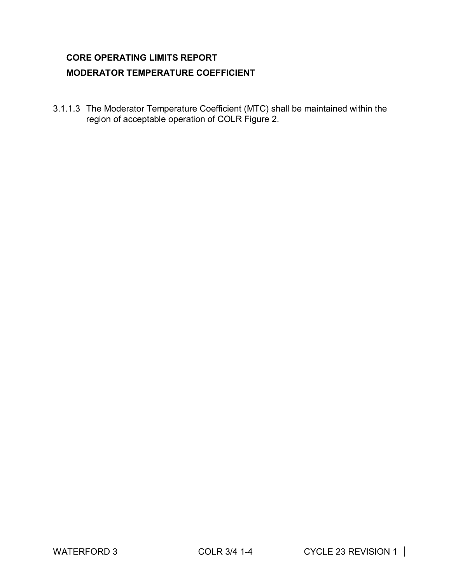### **CORE OPERATING LIMITS REPORT MODERATOR TEMPERATURE COEFFICIENT**

3.1.1.3 The Moderator Temperature Coefficient (MTC) shall be maintained within the region of acceptable operation of COLR Figure 2.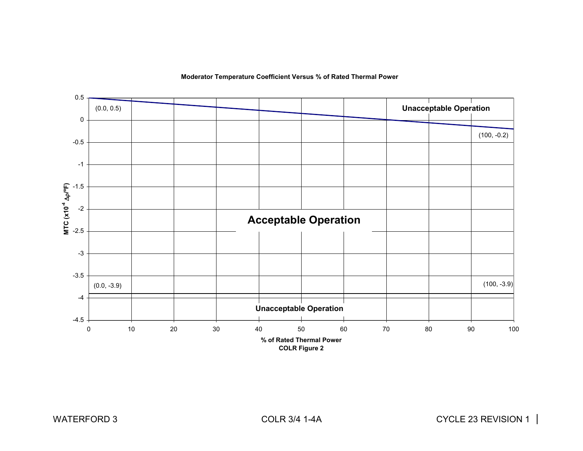

#### **Moderator Temperature Coefficient Versus % of Rated Thermal Power**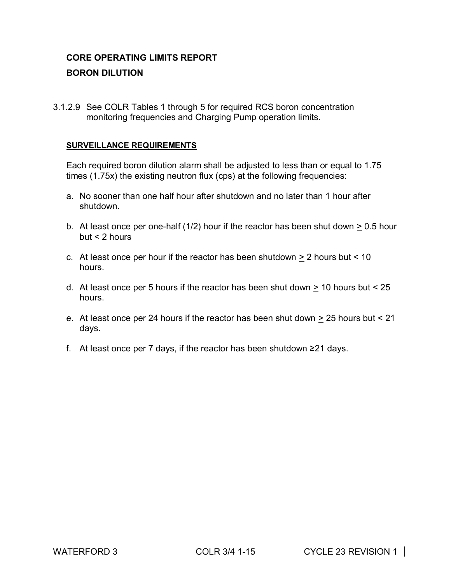### **CORE OPERATING LIMITS REPORT BORON DILUTION**

3.1.2.9 See COLR Tables 1 through 5 for required RCS boron concentration monitoring frequencies and Charging Pump operation limits.

#### **SURVEILLANCE REQUIREMENTS**

Each required boron dilution alarm shall be adjusted to less than or equal to 1.75 times (1.75x) the existing neutron flux (cps) at the following frequencies:

- a. No sooner than one half hour after shutdown and no later than 1 hour after shutdown.
- b. At least once per one-half (1/2) hour if the reactor has been shut down  $\geq 0.5$  hour  $but < 2 hours$
- c. At least once per hour if the reactor has been shutdown  $\geq 2$  hours but < 10 hours.
- d. At least once per 5 hours if the reactor has been shut down  $\geq 10$  hours but < 25 hours.
- e. At least once per 24 hours if the reactor has been shut down  $\geq$  25 hours but < 21 days.
- f. At least once per 7 days, if the reactor has been shutdown ≥21 days.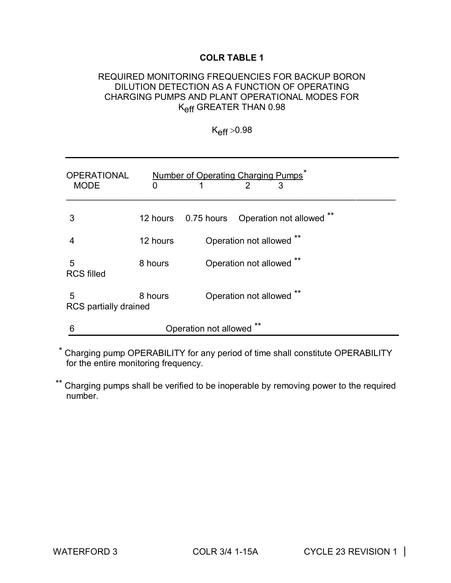#### REQUIRED MONITORING FREQUENCIES FOR BACKUP BORON DILUTION DETECTION AS A FUNCTION OF OPERATING CHARGING PUMPS AND PLANT OPERATIONAL MODES FOR Keff GREATER THAN 0.98

 $K_{\text{eff}} > 0.98$ 

| <b>OPERATIONAL</b><br><b>MODE</b> | 0        | Number of Operating Charging Pumps<br>2<br>3 |
|-----------------------------------|----------|----------------------------------------------|
| 3                                 | 12 hours | 0.75 hours  Operation not allowed *          |
|                                   | 12 hours | Operation not allowed                        |
| 5<br><b>RCS filled</b>            | 8 hours  | Operation not allowed **                     |
| 5<br>RCS partially drained        | 8 hours  | Operation not allowed                        |
| 6                                 |          | Operation not allowed                        |

\* Charging pump OPERABILITY for any period of time shall constitute OPERABILITY for the entire monitoring frequency.

\*\* Charging pumps shall be verified to be inoperable by removing power to the required number.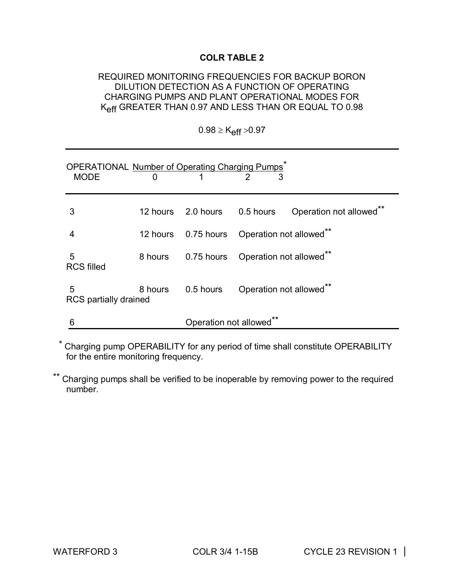#### REQUIRED MONITORING FREQUENCIES FOR BACKUP BORON DILUTION DETECTION AS A FUNCTION OF OPERATING CHARGING PUMPS AND PLANT OPERATIONAL MODES FOR Keff GREATER THAN 0.97 AND LESS THAN OR EQUAL TO 0.98

| OPERATIONAL Number of Operating Charging Pumps <sup>7</sup><br><b>MODE</b> | 0        |                         |                                     |                                    |
|----------------------------------------------------------------------------|----------|-------------------------|-------------------------------------|------------------------------------|
| 3                                                                          |          |                         | 12 hours 2.0 hours 0.5 hours        | Operation not allowed <sup>®</sup> |
|                                                                            | 12 hours |                         | 0.75 hours  Operation not allowed** |                                    |
| 5<br><b>RCS filled</b>                                                     | 8 hours  |                         | 0.75 hours  Operation not allowed** |                                    |
| 5<br>RCS partially drained                                                 | 8 hours  |                         | 0.5 hours Operation not allowed**   |                                    |
| 6                                                                          |          | Operation not allowed** |                                     |                                    |

 $0.98 \geq K_{\text{eff}} > 0.97$ 

\* Charging pump OPERABILITY for any period of time shall constitute OPERABILITY for the entire monitoring frequency.

Charging pumps shall be verified to be inoperable by removing power to the required number.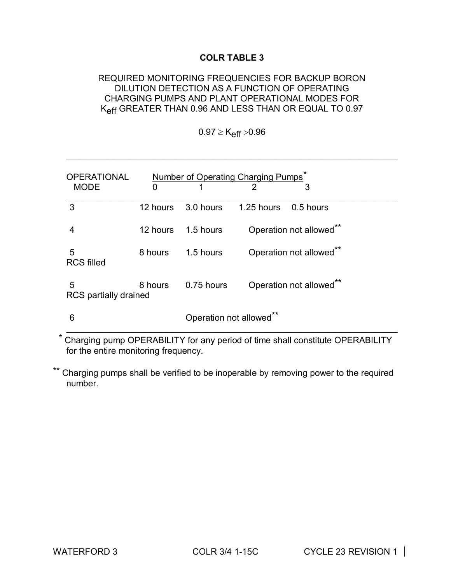#### REQUIRED MONITORING FREQUENCIES FOR BACKUP BORON DILUTION DETECTION AS A FUNCTION OF OPERATING CHARGING PUMPS AND PLANT OPERATIONAL MODES FOR Keff GREATER THAN 0.96 AND LESS THAN OR EQUAL TO 0.97

 $0.97 \geq K_{eff} > 0.96$ 

\_\_\_\_\_\_\_\_\_\_\_\_\_\_\_\_\_\_\_\_\_\_\_\_\_\_\_\_\_\_\_\_\_\_\_\_\_\_\_\_\_\_\_\_\_\_\_\_\_\_\_\_\_\_\_\_\_\_\_\_\_\_\_\_\_\_\_\_\_\_\_\_\_\_\_

| <b>OPERATIONAL</b>         |          | Number of Operating Charging Pumps <sup>7</sup> |                |                         |  |
|----------------------------|----------|-------------------------------------------------|----------------|-------------------------|--|
| <b>MODE</b>                | 0        | 1                                               | $\mathfrak{p}$ | 3                       |  |
| 3                          | 12 hours | 3.0 hours                                       | 1.25 hours     | 0.5 hours               |  |
| 4                          | 12 hours | 1.5 hours                                       |                | Operation not allowed** |  |
| 5<br><b>RCS filled</b>     | 8 hours  | 1.5 hours                                       |                | Operation not allowed** |  |
| 5<br>RCS partially drained | 8 hours  | 0.75 hours                                      |                | Operation not allowed** |  |
| 6                          |          | Operation not allowed**                         |                |                         |  |

\* Charging pump OPERABILITY for any period of time shall constitute OPERABILITY for the entire monitoring frequency.

\*\* Charging pumps shall be verified to be inoperable by removing power to the required number.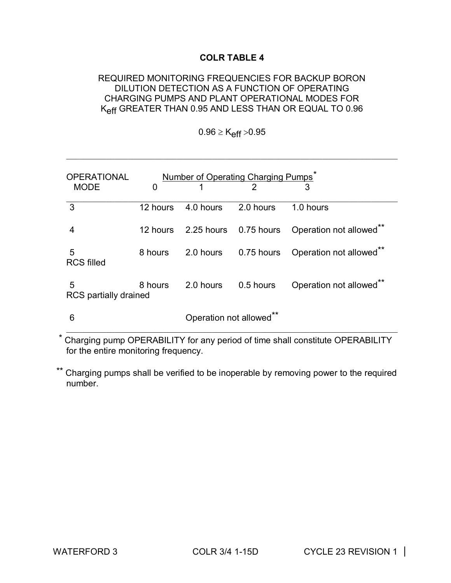#### REQUIRED MONITORING FREQUENCIES FOR BACKUP BORON DILUTION DETECTION AS A FUNCTION OF OPERATING CHARGING PUMPS AND PLANT OPERATIONAL MODES FOR Keff GREATER THAN 0.95 AND LESS THAN OR EQUAL TO 0.96

 $0.96 \geq K_{eff} > 0.95$ 

\_\_\_\_\_\_\_\_\_\_\_\_\_\_\_\_\_\_\_\_\_\_\_\_\_\_\_\_\_\_\_\_\_\_\_\_\_\_\_\_\_\_\_\_\_\_\_\_\_\_\_\_\_\_\_\_\_\_\_\_\_\_\_\_\_\_\_\_\_\_\_\_\_\_\_

| <b>OPERATIONAL</b>         |          |                         | Number of Operating Charging Pumps <sup>®</sup> |                                               |
|----------------------------|----------|-------------------------|-------------------------------------------------|-----------------------------------------------|
| <b>MODE</b>                | 0        |                         | $\mathcal{P}$                                   | 3                                             |
| 3                          | 12 hours | 4.0 hours               | 2.0 hours                                       | 1.0 hours                                     |
| 4                          | 12 hours |                         |                                                 | 2.25 hours 0.75 hours Operation not allowed** |
| 5<br><b>RCS filled</b>     | 8 hours  |                         | 2.0 hours 0.75 hours                            | Operation not allowed <sup>**</sup>           |
| 5<br>RCS partially drained | 8 hours  | 2.0 hours               | 0.5 hours                                       | Operation not allowed**                       |
| 6                          |          | Operation not allowed** |                                                 |                                               |

Charging pump OPERABILITY for any period of time shall constitute OPERABILITY for the entire monitoring frequency.

Charging pumps shall be verified to be inoperable by removing power to the required number.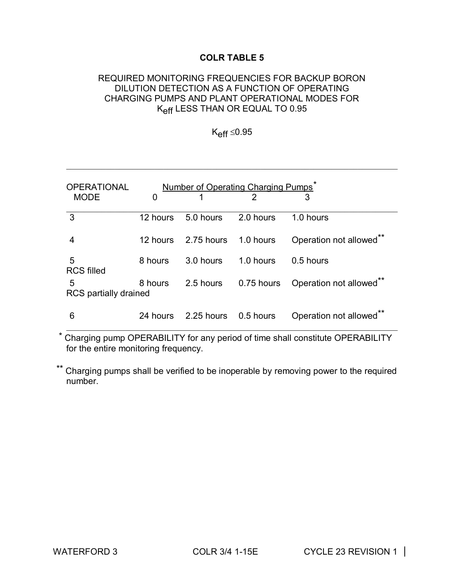#### REQUIRED MONITORING FREQUENCIES FOR BACKUP BORON DILUTION DETECTION AS A FUNCTION OF OPERATING CHARGING PUMPS AND PLANT OPERATIONAL MODES FOR Keff LESS THAN OR EQUAL TO 0.95

 $K_{\text{eff}} \leq 0.95$ 

\_\_\_\_\_\_\_\_\_\_\_\_\_\_\_\_\_\_\_\_\_\_\_\_\_\_\_\_\_\_\_\_\_\_\_\_\_\_\_\_\_\_\_\_\_\_\_\_\_\_\_\_\_\_\_\_\_\_\_\_\_\_\_\_\_\_\_\_\_\_\_\_\_\_\_

| <b>OPERATIONAL</b>         |             |                      | Number of Operating Charging Pumps <sup>®</sup> |                         |
|----------------------------|-------------|----------------------|-------------------------------------------------|-------------------------|
| <b>MODE</b>                | $\mathbf 0$ |                      |                                                 |                         |
| $\mathbf{3}$               | 12 hours    | 5.0 hours            | 2.0 hours                                       | 1.0 hours               |
| 4                          | 12 hours    | 2.75 hours 1.0 hours |                                                 | Operation not allowed** |
| 5<br><b>RCS filled</b>     | 8 hours     | 3.0 hours            | 1.0 hours                                       | 0.5 hours               |
| 5<br>RCS partially drained | 8 hours     | 2.5 hours            | 0.75 hours                                      | Operation not allowed** |
| 6                          | 24 hours    | 2.25 hours 0.5 hours |                                                 | Operation not allowed** |

\* Charging pump OPERABILITY for any period of time shall constitute OPERABILITY for the entire monitoring frequency.

Charging pumps shall be verified to be inoperable by removing power to the required number.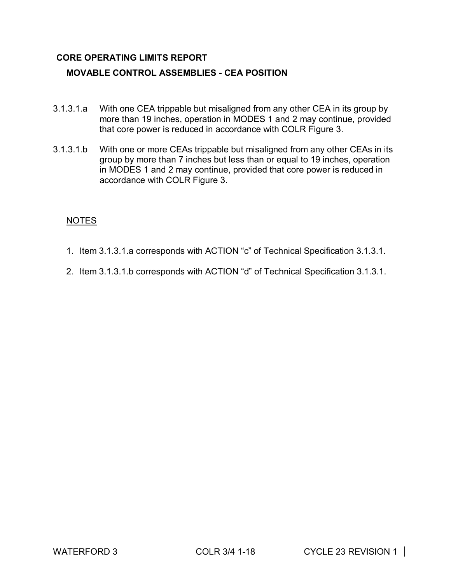#### **CORE OPERATING LIMITS REPORT**

#### **MOVABLE CONTROL ASSEMBLIES - CEA POSITION**

- 3.1.3.1.a With one CEA trippable but misaligned from any other CEA in its group by more than 19 inches, operation in MODES 1 and 2 may continue, provided that core power is reduced in accordance with COLR Figure 3.
- 3.1.3.1.b With one or more CEAs trippable but misaligned from any other CEAs in its group by more than 7 inches but less than or equal to 19 inches, operation in MODES 1 and 2 may continue, provided that core power is reduced in accordance with COLR Figure 3.

#### NOTES

- 1. Item 3.1.3.1.a corresponds with ACTION "c" of Technical Specification 3.1.3.1.
- 2. Item 3.1.3.1.b corresponds with ACTION "d" of Technical Specification 3.1.3.1.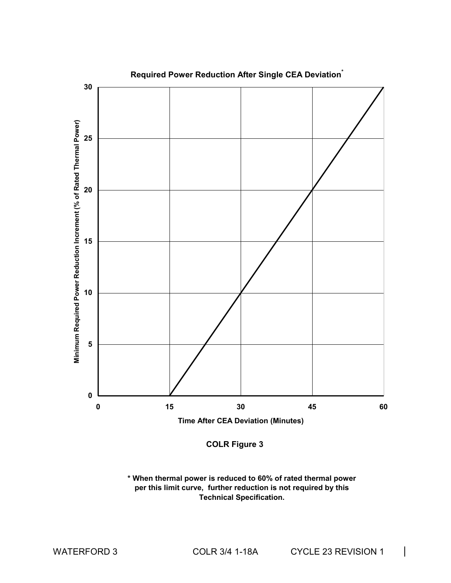

**COLR Figure 3**

**\* When thermal power is reduced to 60% of rated thermal power per this limit curve, further reduction is not required by this Technical Specification.**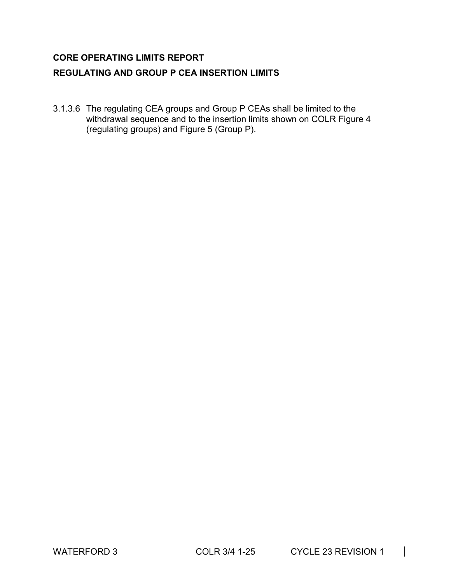#### **CORE OPERATING LIMITS REPORT**

#### **REGULATING AND GROUP P CEA INSERTION LIMITS**

3.1.3.6 The regulating CEA groups and Group P CEAs shall be limited to the withdrawal sequence and to the insertion limits shown on COLR Figure 4 (regulating groups) and Figure 5 (Group P).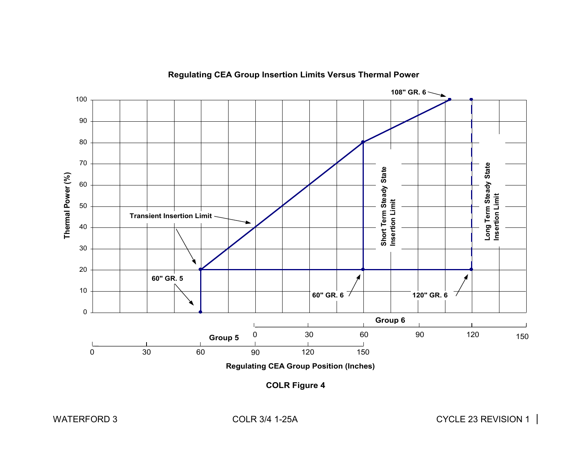

**Regulating CEA Group Insertion Limits Versus Thermal Power**

**COLR Figure 4**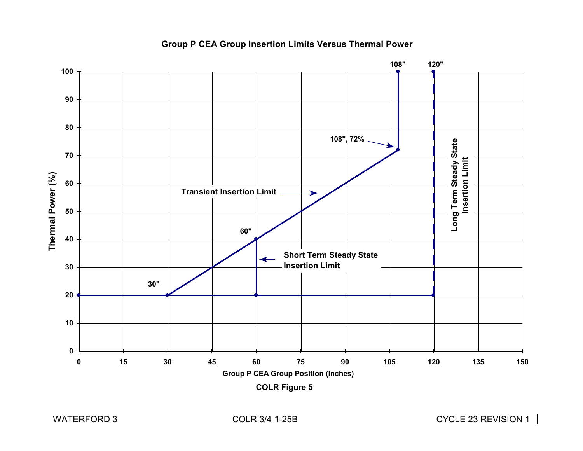

#### **Group P CEA Group Insertion Limits Versus Thermal Power**

**COLR Figure 5**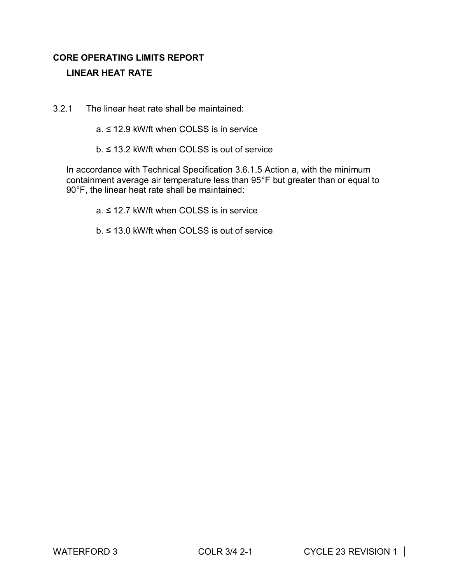### **CORE OPERATING LIMITS REPORT LINEAR HEAT RATE**

- 3.2.1 The linear heat rate shall be maintained:
	- a. ≤ 12.9 kW/ft when COLSS is in service
	- b. ≤ 13.2 kW/ft when COLSS is out of service

In accordance with Technical Specification 3.6.1.5 Action a, with the minimum containment average air temperature less than 95°F but greater than or equal to 90°F, the linear heat rate shall be maintained:

- a. ≤ 12.7 kW/ft when COLSS is in service
- b. ≤ 13.0 kW/ft when COLSS is out of service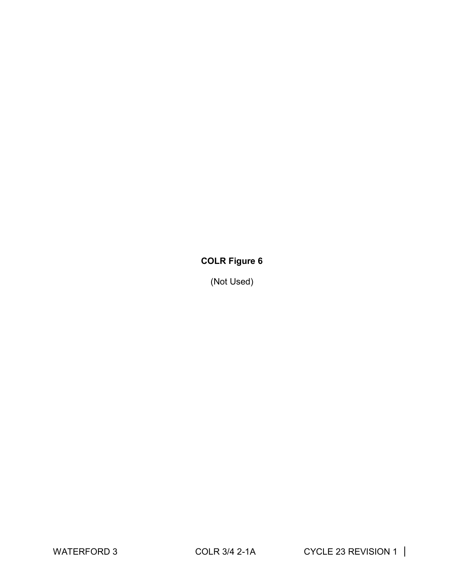### **COLR Figure 6**

(Not Used)

WATERFORD 3 COLR 3/4 2-1A CYCLE 23 REVISION 1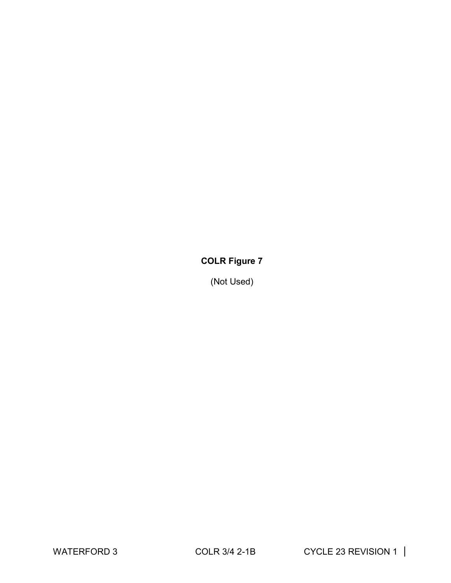### **COLR Figure 7**

(Not Used)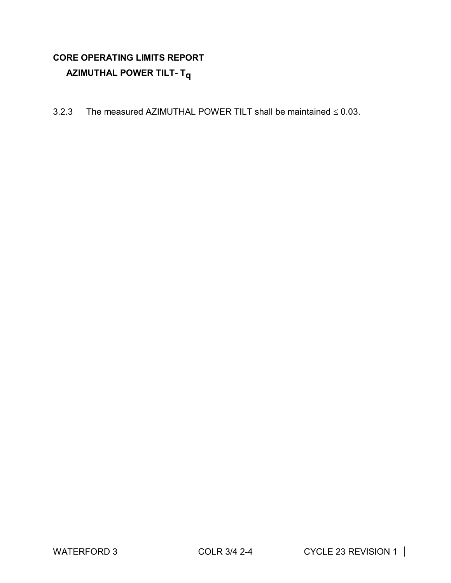### **CORE OPERATING LIMITS REPORT AZIMUTHAL POWER TILT- Tq**

3.2.3 The measured AZIMUTHAL POWER TILT shall be maintained  $\leq 0.03$ .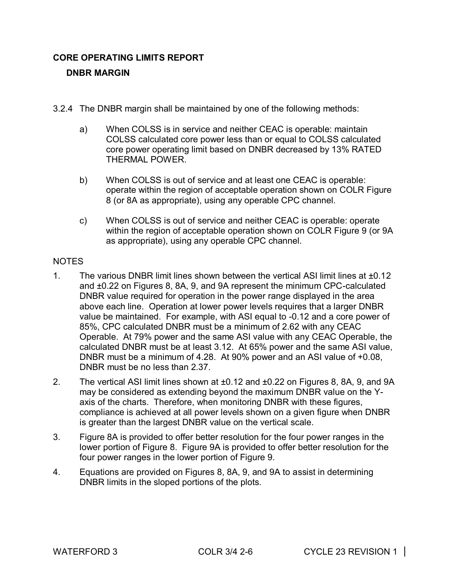#### **CORE OPERATING LIMITS REPORT**

#### **DNBR MARGIN**

- 3.2.4 The DNBR margin shall be maintained by one of the following methods:
	- a) When COLSS is in service and neither CEAC is operable: maintain COLSS calculated core power less than or equal to COLSS calculated core power operating limit based on DNBR decreased by 13% RATED THERMAL POWER.
	- b) When COLSS is out of service and at least one CEAC is operable: operate within the region of acceptable operation shown on COLR Figure 8 (or 8A as appropriate), using any operable CPC channel.
	- c) When COLSS is out of service and neither CEAC is operable: operate within the region of acceptable operation shown on COLR Figure 9 (or 9A as appropriate), using any operable CPC channel.

#### NOTES

- 1. The various DNBR limit lines shown between the vertical ASI limit lines at ±0.12 and ±0.22 on Figures 8, 8A, 9, and 9A represent the minimum CPC-calculated DNBR value required for operation in the power range displayed in the area above each line. Operation at lower power levels requires that a larger DNBR value be maintained. For example, with ASI equal to -0.12 and a core power of 85%, CPC calculated DNBR must be a minimum of 2.62 with any CEAC Operable. At 79% power and the same ASI value with any CEAC Operable, the calculated DNBR must be at least 3.12. At 65% power and the same ASI value, DNBR must be a minimum of 4.28. At 90% power and an ASI value of +0.08, DNBR must be no less than 2.37.
- 2. The vertical ASI limit lines shown at ±0.12 and ±0.22 on Figures 8, 8A, 9, and 9A may be considered as extending beyond the maximum DNBR value on the Yaxis of the charts. Therefore, when monitoring DNBR with these figures, compliance is achieved at all power levels shown on a given figure when DNBR is greater than the largest DNBR value on the vertical scale.
- 3. Figure 8A is provided to offer better resolution for the four power ranges in the lower portion of Figure 8. Figure 9A is provided to offer better resolution for the four power ranges in the lower portion of Figure 9.
- 4. Equations are provided on Figures 8, 8A, 9, and 9A to assist in determining DNBR limits in the sloped portions of the plots.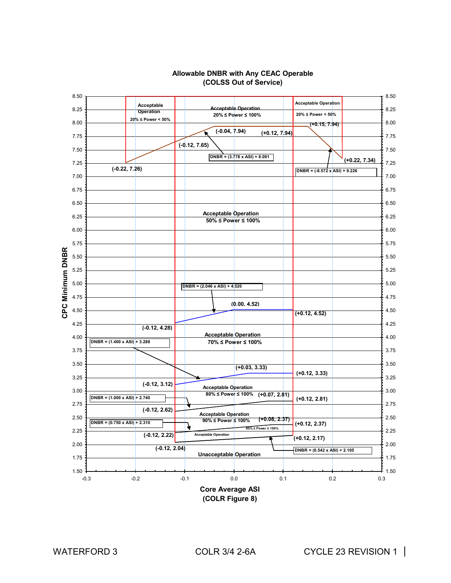

#### **Allowable DNBR with Any CEAC Operable (COLSS Out of Service)**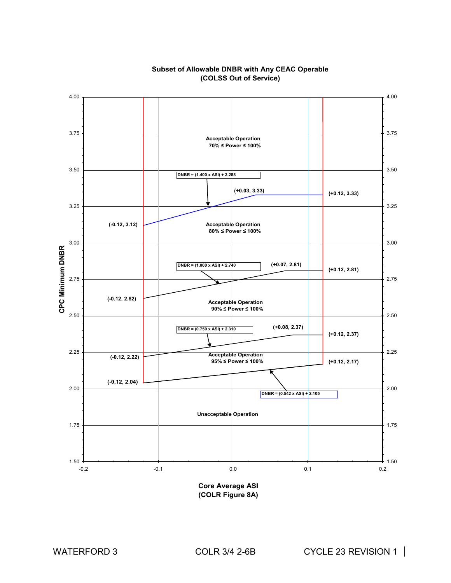

#### **Subset of Allowable DNBR with Any CEAC Operable (COLSS Out of Service)**

**Core Average ASI (COLR Figure 8A)**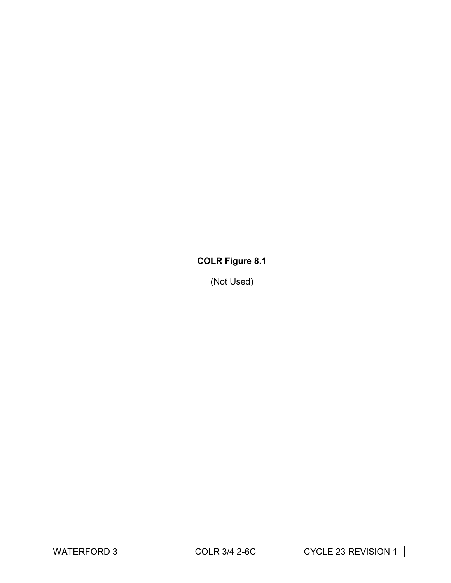### **COLR Figure 8.1**

(Not Used)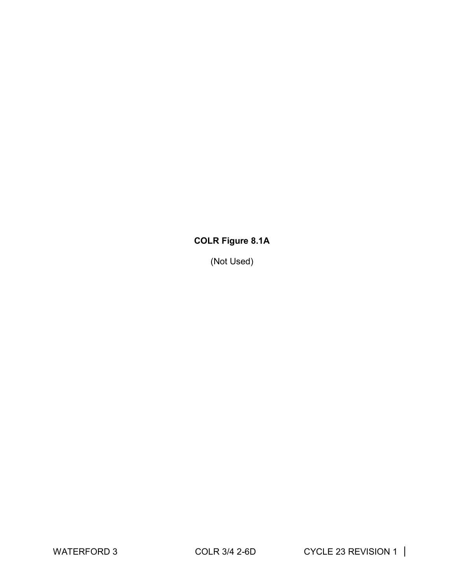### **COLR Figure 8.1A**

(Not Used)

WATERFORD 3 COLR 3/4 2-6D CYCLE 23 REVISION 1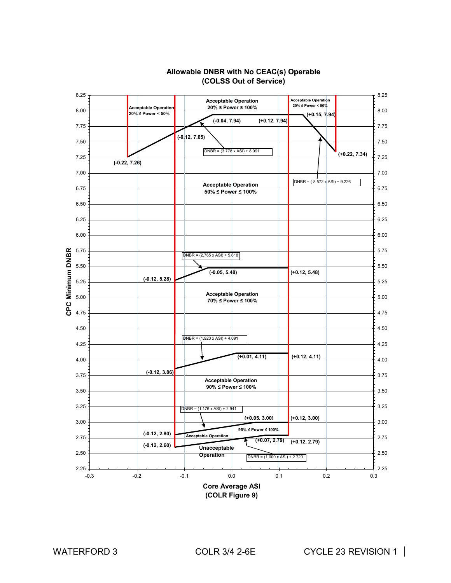

#### **Allowable DNBR with No CEAC(s) Operable (COLSS Out of Service)**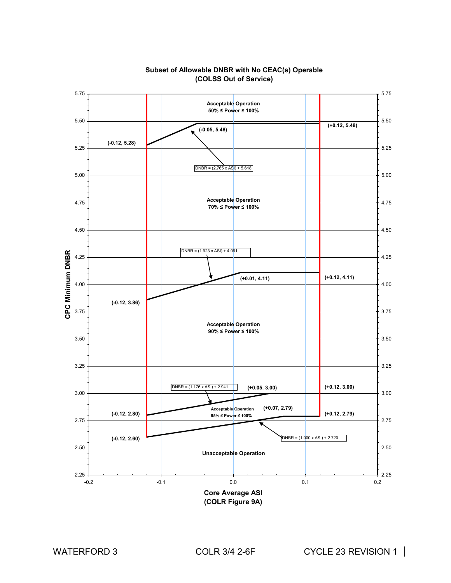

#### **Subset of Allowable DNBR with No CEAC(s) Operable (COLSS Out of Service)**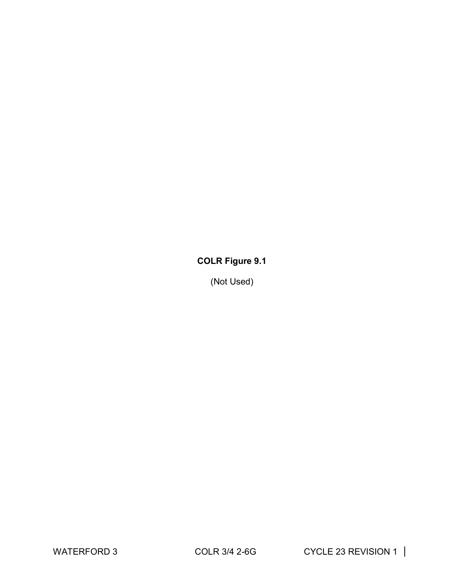### **COLR Figure 9.1**

(Not Used)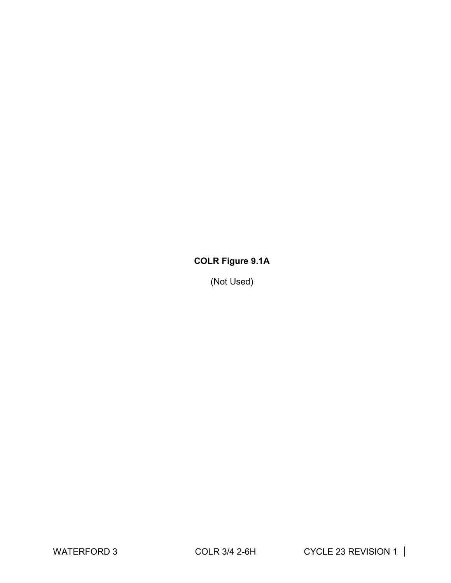### **COLR Figure 9.1A**

(Not Used)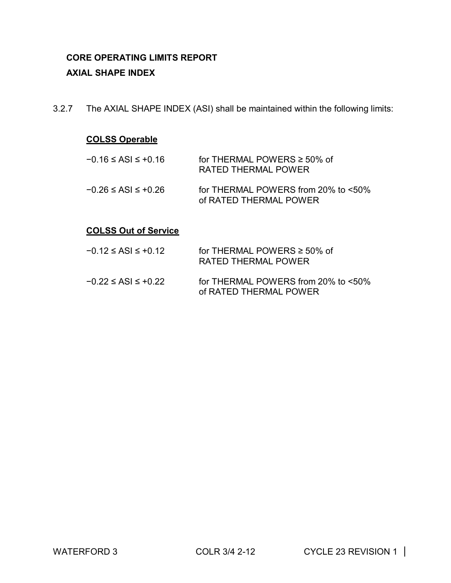### **CORE OPERATING LIMITS REPORT AXIAL SHAPE INDEX**

3.2.7 The AXIAL SHAPE INDEX (ASI) shall be maintained within the following limits:

#### **COLSS Operable**

| $-0.16 \leq ASI \leq +0.16$ | for THERMAL POWERS $\geq 50\%$ of<br>RATED THERMAL POWER         |
|-----------------------------|------------------------------------------------------------------|
| $-0.26 \leq ASI \leq +0.26$ | for THERMAL POWERS from 20% to $<50\%$<br>of RATED THERMAL POWER |

#### **COLSS Out of Service**

| $-0.12 \leq ASI \leq +0.12$ | for THERMAL POWERS $\geq 50\%$ of<br>RATED THERMAL POWER      |
|-----------------------------|---------------------------------------------------------------|
| $-0.22 \leq ASI \leq +0.22$ | for THERMAL POWERS from 20% to <50%<br>of RATED THERMAL POWER |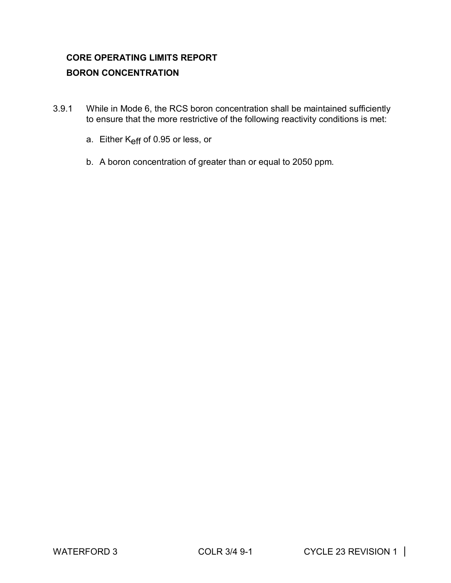### **CORE OPERATING LIMITS REPORT BORON CONCENTRATION**

- 3.9.1 While in Mode 6, the RCS boron concentration shall be maintained sufficiently to ensure that the more restrictive of the following reactivity conditions is met:
	- a. Either K<sub>eff</sub> of 0.95 or less, or
	- b. A boron concentration of greater than or equal to 2050 ppm.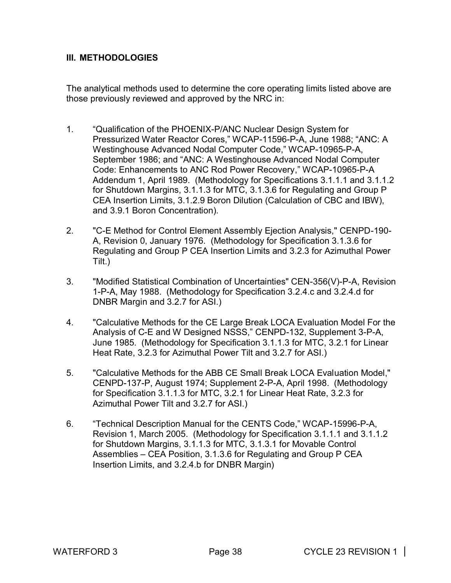#### **III. METHODOLOGIES**

The analytical methods used to determine the core operating limits listed above are those previously reviewed and approved by the NRC in:

- 1. "Qualification of the PHOENIX-P/ANC Nuclear Design System for Pressurized Water Reactor Cores," WCAP-11596-P-A, June 1988; "ANC: A Westinghouse Advanced Nodal Computer Code," WCAP-10965-P-A, September 1986; and "ANC: A Westinghouse Advanced Nodal Computer Code: Enhancements to ANC Rod Power Recovery," WCAP-10965-P-A Addendum 1, April 1989. (Methodology for Specifications 3.1.1.1 and 3.1.1.2 for Shutdown Margins, 3.1.1.3 for MTC, 3.1.3.6 for Regulating and Group P CEA Insertion Limits, 3.1.2.9 Boron Dilution (Calculation of CBC and IBW), and 3.9.1 Boron Concentration).
- 2. "C-E Method for Control Element Assembly Ejection Analysis," CENPD-190- A, Revision 0, January 1976. (Methodology for Specification 3.1.3.6 for Regulating and Group P CEA Insertion Limits and 3.2.3 for Azimuthal Power Tilt.)
- 3. "Modified Statistical Combination of Uncertainties" CEN-356(V)-P-A, Revision 1-P-A, May 1988. (Methodology for Specification 3.2.4.c and 3.2.4.d for DNBR Margin and 3.2.7 for ASI.)
- 4. "Calculative Methods for the CE Large Break LOCA Evaluation Model For the Analysis of C-E and W Designed NSSS," CENPD-132, Supplement 3-P-A, June 1985. (Methodology for Specification 3.1.1.3 for MTC, 3.2.1 for Linear Heat Rate, 3.2.3 for Azimuthal Power Tilt and 3.2.7 for ASI.)
- 5. "Calculative Methods for the ABB CE Small Break LOCA Evaluation Model," CENPD-137-P, August 1974; Supplement 2-P-A, April 1998. (Methodology for Specification 3.1.1.3 for MTC, 3.2.1 for Linear Heat Rate, 3.2.3 for Azimuthal Power Tilt and 3.2.7 for ASI.)
- 6. "Technical Description Manual for the CENTS Code," WCAP-15996-P-A, Revision 1, March 2005. (Methodology for Specification 3.1.1.1 and 3.1.1.2 for Shutdown Margins, 3.1.1.3 for MTC, 3.1.3.1 for Movable Control Assemblies – CEA Position, 3.1.3.6 for Regulating and Group P CEA Insertion Limits, and 3.2.4.b for DNBR Margin)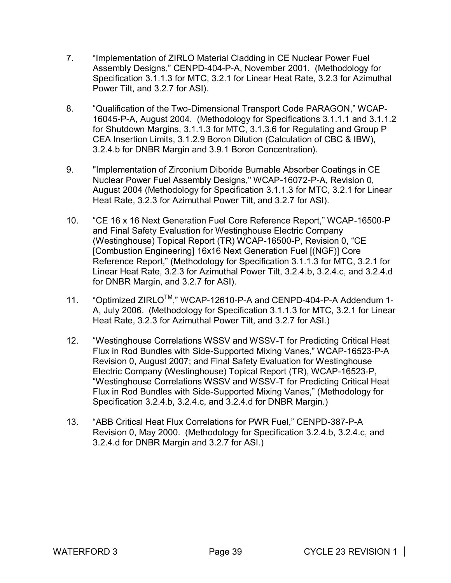- 7. "Implementation of ZIRLO Material Cladding in CE Nuclear Power Fuel Assembly Designs," CENPD-404-P-A, November 2001. (Methodology for Specification 3.1.1.3 for MTC, 3.2.1 for Linear Heat Rate, 3.2.3 for Azimuthal Power Tilt, and 3.2.7 for ASI).
- 8. "Qualification of the Two-Dimensional Transport Code PARAGON," WCAP-16045-P-A, August 2004. (Methodology for Specifications 3.1.1.1 and 3.1.1.2 for Shutdown Margins, 3.1.1.3 for MTC, 3.1.3.6 for Regulating and Group P CEA Insertion Limits, 3.1.2.9 Boron Dilution (Calculation of CBC & IBW), 3.2.4.b for DNBR Margin and 3.9.1 Boron Concentration).
- 9. "Implementation of Zirconium Diboride Burnable Absorber Coatings in CE Nuclear Power Fuel Assembly Designs," WCAP-16072-P-A, Revision 0, August 2004 (Methodology for Specification 3.1.1.3 for MTC, 3.2.1 for Linear Heat Rate, 3.2.3 for Azimuthal Power Tilt, and 3.2.7 for ASI).
- 10. "CE 16 x 16 Next Generation Fuel Core Reference Report," WCAP-16500-P and Final Safety Evaluation for Westinghouse Electric Company (Westinghouse) Topical Report (TR) WCAP-16500-P, Revision 0, "CE [Combustion Engineering] 16x16 Next Generation Fuel [(NGF)] Core Reference Report," (Methodology for Specification 3.1.1.3 for MTC, 3.2.1 for Linear Heat Rate, 3.2.3 for Azimuthal Power Tilt, 3.2.4.b, 3.2.4.c, and 3.2.4.d for DNBR Margin, and 3.2.7 for ASI).
- 11. "Optimized ZIRLOTM," WCAP-12610-P-A and CENPD-404-P-A Addendum 1- A, July 2006. (Methodology for Specification 3.1.1.3 for MTC, 3.2.1 for Linear Heat Rate, 3.2.3 for Azimuthal Power Tilt, and 3.2.7 for ASI.)
- 12. "Westinghouse Correlations WSSV and WSSV-T for Predicting Critical Heat Flux in Rod Bundles with Side-Supported Mixing Vanes," WCAP-16523-P-A Revision 0, August 2007; and Final Safety Evaluation for Westinghouse Electric Company (Westinghouse) Topical Report (TR), WCAP-16523-P, "Westinghouse Correlations WSSV and WSSV-T for Predicting Critical Heat Flux in Rod Bundles with Side-Supported Mixing Vanes," (Methodology for Specification 3.2.4.b, 3.2.4.c, and 3.2.4.d for DNBR Margin.)
- 13. "ABB Critical Heat Flux Correlations for PWR Fuel," CENPD-387-P-A Revision 0, May 2000. (Methodology for Specification 3.2.4.b, 3.2.4.c, and 3.2.4.d for DNBR Margin and 3.2.7 for ASI.)